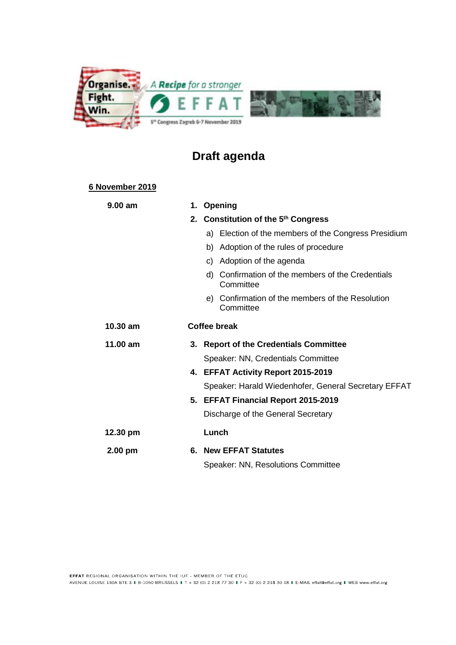

# **Draft agenda**

### **6 November 2019**

| 9.00 am    | 1.<br>Opening                                                  |
|------------|----------------------------------------------------------------|
|            | 2. Constitution of the 5th Congress                            |
|            | a) Election of the members of the Congress Presidium           |
|            | Adoption of the rules of procedure<br>b)                       |
|            | Adoption of the agenda<br>C)                                   |
|            | d) Confirmation of the members of the Credentials<br>Committee |
|            | e) Confirmation of the members of the Resolution<br>Committee  |
| $10.30$ am | <b>Coffee break</b>                                            |
| 11.00 am   | 3. Report of the Credentials Committee                         |
|            | Speaker: NN, Credentials Committee                             |
|            | 4. EFFAT Activity Report 2015-2019                             |
|            | Speaker: Harald Wiedenhofer, General Secretary EFFAT           |
|            | 5. EFFAT Financial Report 2015-2019                            |
|            | Discharge of the General Secretary                             |
| 12.30 pm   | Lunch                                                          |
| $2.00$ pm  | 6. New EFFAT Statutes                                          |
|            | Speaker: NN, Resolutions Committee                             |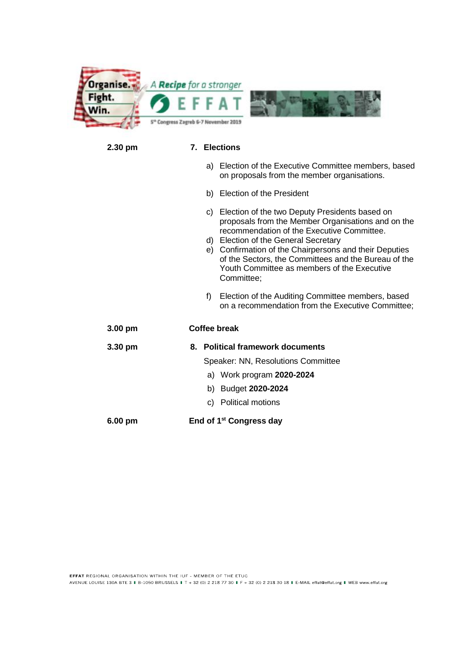

#### **2.30 pm 7. Elections**

- a) Election of the Executive Committee members, based on proposals from the member organisations.
- b) Election of the President
- c) Election of the two Deputy Presidents based on proposals from the Member Organisations and on the recommendation of the Executive Committee.
- d) Election of the General Secretary
- e) Confirmation of the Chairpersons and their Deputies of the Sectors, the Committees and the Bureau of the Youth Committee as members of the Executive Committee;
- f) Election of the Auditing Committee members, based on a recommendation from the Executive Committee;

| $3.00 \text{ pm}$ | Coffee break                               |
|-------------------|--------------------------------------------|
| $3.30$ pm         | <b>Political framework documents</b><br>8. |
|                   | Speaker: NN, Resolutions Committee         |
|                   | a) Work program 2020-2024                  |
|                   | Budget 2020-2024<br>b)                     |
|                   | Political motions<br>C)                    |
| $6.00 \text{ pm}$ | End of 1 <sup>st</sup> Congress day        |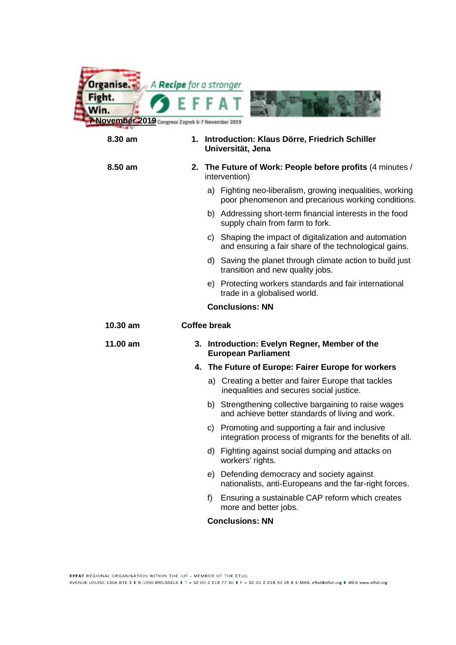

## **8.30 am 1. Introduction: Klaus Dörre, Friedrich Schiller Universität, Jena**

#### **8.50 am 2. The Future of Work: People before profits** (4 minutes / intervention)

- a) Fighting neo-liberalism, growing inequalities, working poor phenomenon and precarious working conditions.
- b) Addressing short-term financial interests in the food supply chain from farm to fork.
- c) Shaping the impact of digitalization and automation and ensuring a fair share of the technological gains.
- d) Saving the planet through climate action to build just transition and new quality jobs.
- e) Protecting workers standards and fair international trade in a globalised world.

#### **Conclusions: NN**

#### **10.30 am Coffee break**

#### **11.00 am 3. Introduction: Evelyn Regner, Member of the European Parliament**

#### **4. The Future of Europe: Fairer Europe for workers**

- a) Creating a better and fairer Europe that tackles inequalities and secures social justice.
- b) Strengthening collective bargaining to raise wages and achieve better standards of living and work.
- c) Promoting and supporting a fair and inclusive integration process of migrants for the benefits of all.
- d) Fighting against social dumping and attacks on workers' rights.
- e) Defending democracy and society against nationalists, anti-Europeans and the far-right forces.
- f) Ensuring a sustainable CAP reform which creates more and better jobs.

#### **Conclusions: NN**